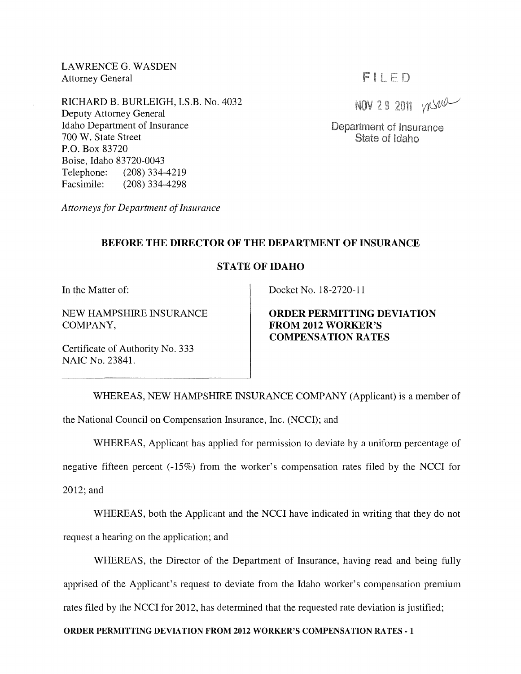LAWRENCE G. WASDEN Attorney General

RICHARD B. BURLEIGH, I.S.B. No. 4032 Deputy Attorney General Idaho Department of Insurance 700 W. State Street P.O. Box 83720 Boise, Idaho 83720-0043 Telephone: (208) 334-4219<br>Facsimile: (208) 334-4298  $(208)$  334-4298

*Attorneys for Department of Insurance* 

# FIIED

NOV 29 2011 mine

Department of Insurance State of Idaho

## **BEFORE THE DIRECTOR OF THE DEPARTMENT OF INSURANCE**

### **STATE OF IDAHO**

**In** the Matter of:

NEW HAMPSHIRE INSURANCE COMPANY,

Docket No. 18-2720-11

**ORDER PERMITTING DEVIATION FROM 2012 WORKER'S COMPENSATION RATES** 

Certificate of Authority No. 333 NAIC No. 23841.

WHEREAS, NEW HAMPSHIRE INSURANCE COMPANY (Applicant) is a member of the National Council on Compensation Insurance, Inc. (NCCI); and

WHEREAS, Applicant has applied for permission to deviate by a uniform percentage of negative fifteen percent (-15%) from the worker's compensation rates filed by the NCCI for 2012; and

WHEREAS, both the Applicant and the NCCI have indicated in writing that they do not request a hearing on the application; and

WHEREAS, the Director of the Department of Insurance, having read and being fully apprised of the Applicant's request to deviate from the Idaho worker's compensation premium rates filed by the NCCI for 2012, has determined that the requested rate deviation is justified;

#### **ORDER PERMITTING DEVIATION FROM 2012 WORKER'S COMPENSATION RATES - 1**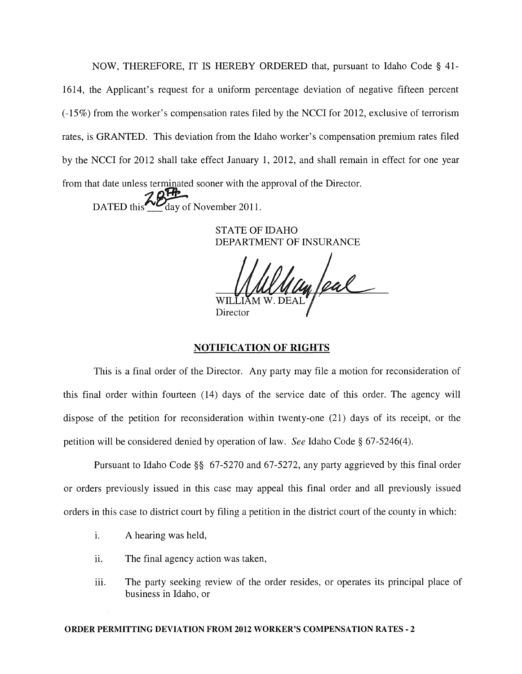NOW, THEREFORE, IT IS HEREBY ORDERED that, pursuant to Idaho Code § 41- 1614, the Applicant's request for a uniform percentage deviation of negative fifteen percent (-15%) from the worker's compensation rates filed by the NCCI for 2012, exclusive of terrorism rates, is GRANTED. This deviation from the Idaho worker's compensation premium rates filed by the NCCI for 2012 shall take effect January 1, 2012, and shall remain in effect for one year from that date unless terminated sooner with the approval of the Director.

DATED this  $\frac{M}{\sqrt{N}}$  day of November 2011.

STATE OF IDAHO DEPARTMENT OF INSURANCE

un feal Director

## **NOTIFICATION OF RIGHTS**

This is a final order of the Director. Any party may file a motion for reconsideration of this final order within fourteen (14) days of the service date of this order. The agency will dispose of the petition for reconsideration within twenty-one (21) days of its receipt, or the petition will be considered denied by operation of law. *See* Idaho Code § 67-5246(4).

Pursuant to Idaho Code §§ 67-5270 and 67-5272, any party aggrieved by this final order or orders previously issued in this case may appeal this final order and all previously issued orders in this case to district court by filing a petition in the district court of the county in which:

- i. A hearing was held,
- ii. The final agency action was taken,
- iii. The party seeking review of the order resides, or operates its principal place of business in Idaho, or

#### ORDER PERMITTING DEVIATION FROM 2012 WORKER'S COMPENSATION RATES· 2